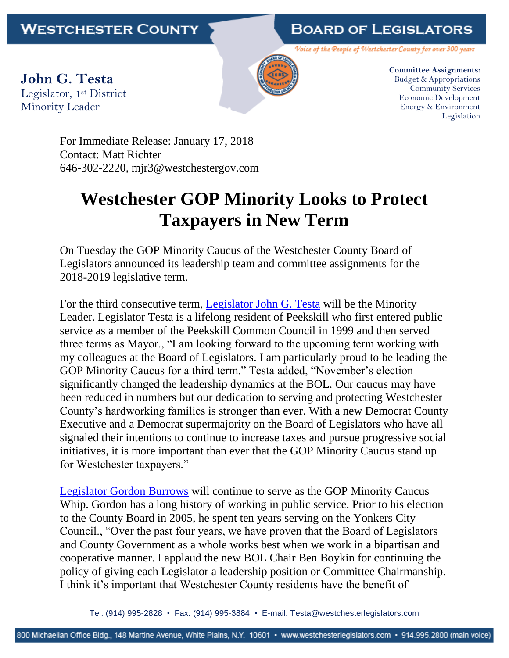## **BOARD OF LEGISLATORS**

Voice of the People of Westchester County for over 300 years

**John G. Testa** Legislator, 1st District Minority Leader



**Committee Assignments:** Budget & Appropriations Community Services Economic Development Energy & Environment Legislation

For Immediate Release: January 17, 2018 Contact: Matt Richter 646-302-2220, mjr3@westchestergov.com

## **Westchester GOP Minority Looks to Protect Taxpayers in New Term**

On Tuesday the GOP Minority Caucus of the Westchester County Board of Legislators announced its leadership team and committee assignments for the 2018-2019 legislative term.

For the third consecutive term, [Legislator John G. Testa](http://westchesterlegislators.com/district-1.html) will be the Minority Leader. Legislator Testa is a lifelong resident of Peekskill who first entered public service as a member of the Peekskill Common Council in 1999 and then served three terms as Mayor., "I am looking forward to the upcoming term working with my colleagues at the Board of Legislators. I am particularly proud to be leading the GOP Minority Caucus for a third term." Testa added, "November's election significantly changed the leadership dynamics at the BOL. Our caucus may have been reduced in numbers but our dedication to serving and protecting Westchester County's hardworking families is stronger than ever. With a new Democrat County Executive and a Democrat supermajority on the Board of Legislators who have all signaled their intentions to continue to increase taxes and pursue progressive social initiatives, it is more important than ever that the GOP Minority Caucus stand up for Westchester taxpayers."

[Legislator Gordon Burrows](http://westchesterlegislators.com/district-15.html) will continue to serve as the GOP Minority Caucus Whip. Gordon has a long history of working in public service. Prior to his election to the County Board in 2005, he spent ten years serving on the Yonkers City Council., "Over the past four years, we have proven that the Board of Legislators and County Government as a whole works best when we work in a bipartisan and cooperative manner. I applaud the new BOL Chair Ben Boykin for continuing the policy of giving each Legislator a leadership position or Committee Chairmanship. I think it's important that Westchester County residents have the benefit of

Tel: (914) 995-2828 • Fax: (914) 995-3884 • E-mail: Testa@westchesterlegislators.com